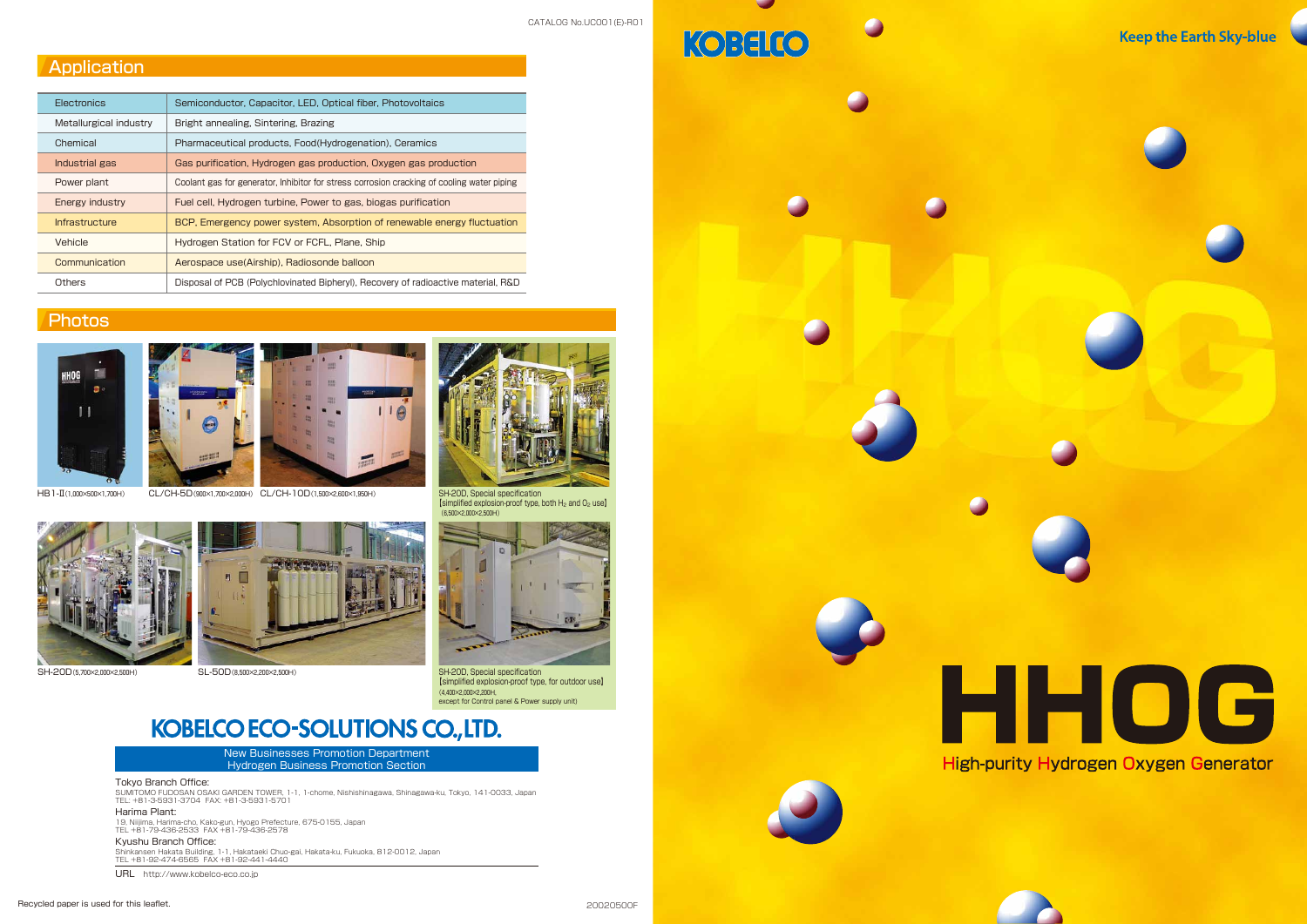







CATALOG No.UC001(E)-R01

KOBELCO

# **Application**

| <b>Flectronics</b> |                        | Semiconductor, Capacitor, LED, Optical fiber, Photovoltaics                                |  |  |  |
|--------------------|------------------------|--------------------------------------------------------------------------------------------|--|--|--|
|                    | Metallurgical industry | Bright annealing, Sintering, Brazing                                                       |  |  |  |
|                    | Chemical               | Pharmaceutical products, Food (Hydrogenation), Ceramics                                    |  |  |  |
|                    | Industrial gas         | Gas purification, Hydrogen gas production, Oxygen gas production                           |  |  |  |
|                    | Power plant            | Coolant gas for generator, Inhibitor for stress corrosion cracking of cooling water piping |  |  |  |
|                    | Energy industry        | Fuel cell, Hydrogen turbine, Power to gas, biogas purification                             |  |  |  |
|                    | <b>Infrastructure</b>  | BCP, Emergency power system, Absorption of renewable energy fluctuation                    |  |  |  |
|                    | Vehicle                | Hydrogen Station for FCV or FCFL, Plane, Ship                                              |  |  |  |
|                    | Communication          | Aerospace use(Airship), Radiosonde balloon                                                 |  |  |  |
|                    | Others                 | Disposal of PCB (Polychlovinated Bipheryl), Recovery of radioactive material, R&D          |  |  |  |
|                    |                        |                                                                                            |  |  |  |

# **Photos**







【simplified explosion-proof type, both H2 and O2 use】 (6,500×2,000×2,500H)







SH-20D, Special specification 【simplified explosion-proof type, for outdoor use】 (4,400×2,000×2,200H, except for Control panel & Power supply unit)

# **KOBELCO ECO-SOLUTIONS CO., LTD.**

SH-20D(5,700×2,000×2,500H) SL-50D(8,500×2,200×2,500H)



New Businesses Promotion Department Hydrogen Business Promotion Section

#### Tokyo Branch Office:

SUMITOMO FUDOSAN OSAKI GARDEN TOWER, 1-1, 1-chome, Nishishinagawa, Shinagawa-ku, Tokyo, 141-0033, Japan TEL: +81-3-5931-3704 FAX: +81-3-5931-5701

#### Harima Plant:

19, Niijima, Harima-cho, Kako-gun, Hyogo Prefecture, 675-0155, Japan TEL +81-79-436-2533 FAX +81-79-436-2578

Kyushu Branch Office:

Shinkansen Hakata Building, 1-1, Hakataeki Chuo-gai, Hakata-ku, Fukuoka, 812-0012, Japan TEL +81-92-474-6565 FAX +81-92-441-4440

URL http://www.kobelco-eco.co.jp